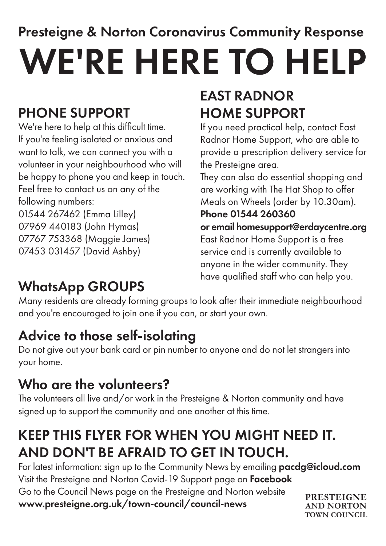# Presteigne & Norton Coronavirus Community Response WE'RE HERE TO HELP

### PHONE SUPPORT

We're here to help at this difficult time. If you're feeling isolated or anxious and want to talk, we can connect you with a volunteer in your neighbourhood who will be happy to phone you and keep in touch. Feel free to contact us on any of the following numbers: 01544 267462 (Emma Lilley)

07969 440183 (John Hymas) 07767 753368 (Maggie James) 07453 031457 (David Ashby)

# EAST RADNOR HOME SUPPORT

If you need practical help, contact East Radnor Home Support, who are able to provide a prescription delivery service for the Presteigne area.

They can also do essential shopping and are working with The Hat Shop to offer Meals on Wheels (order by 10.30am).

#### Phone 01544 260360

or email homesupport@erdaycentre.org East Radnor Home Support is a free service and is currently available to anyone in the wider community. They have qualified staff who can help you.

**TOWN COUNCIL**

### WhatsApp GROUPS

Many residents are already forming groups to look after their immediate neighbourhood and you're encouraged to join one if you can, or start your own.

### Advice to those self-isolating

Do not give out your bank card or pin number to anyone and do not let strangers into your home.

#### Who are the volunteers?

The volunteers all live and/or work in the Presteigne & Norton community and have signed up to support the community and one another at this time.

### KEEP THIS FLYER FOR WHEN YOU MIGHT NEED IT. AND DON'T BE AFRAID TO GET IN TOUCH.

For latest information: sign up to the Community News by emailing **pacdg@icloud.com** Visit the Presteigne and Norton Covid-19 Support page on Facebook Go to the Council News page on the Presteigne and Norton website www.presteigne.org.uk/town-council/council-news **PRESTEIGNE AND NORTON**